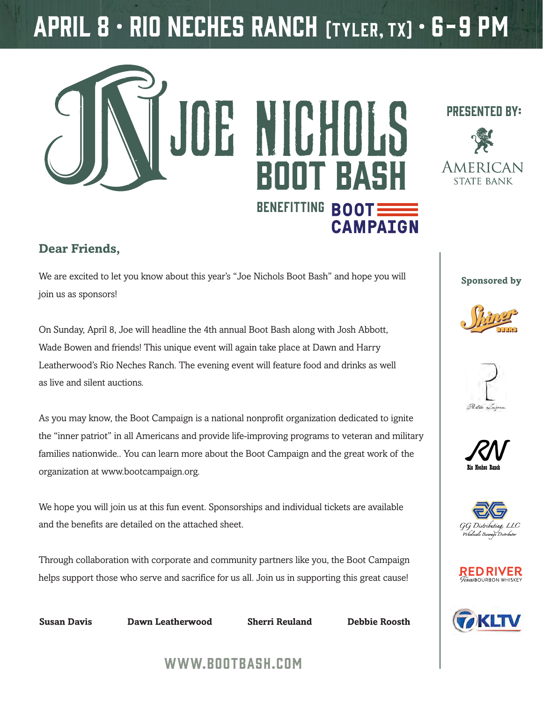# April 8 • Rio Neches Ranch (Tyler, TX) • 6-9 pm



#### **Dear Friends,**

We are excited to let you know about this year's "Joe Nichols Boot Bash" and hope you will join us as sponsors!

On Sunday, April 8, Joe will headline the 4th annual Boot Bash along with Josh Abbott, Wade Bowen and friends! This unique event will again take place at Dawn and Harry Leatherwood's Rio Neches Ranch. The evening event will feature food and drinks as well as live and silent auctions.

As you may know, the Boot Campaign is a national nonprofit organization dedicated to ignite the "inner patriot" in all Americans and provide life-improving programs to veteran and military families nationwide.. You can learn more about the Boot Campaign and the great work of the organization at www.bootcampaign.org.

We hope you will join us at this fun event. Sponsorships and individual tickets are available and the benefits are detailed on the attached sheet.

Through collaboration with corporate and community partners like you, the Boot Campaign helps support those who serve and sacrifice for us all. Join us in supporting this great cause!



**Susan Davis Dawn Leatherwood Sherri Reuland Debbie Roosth**

#### presented by:



**Sponsored by**













### www.bootbash.com